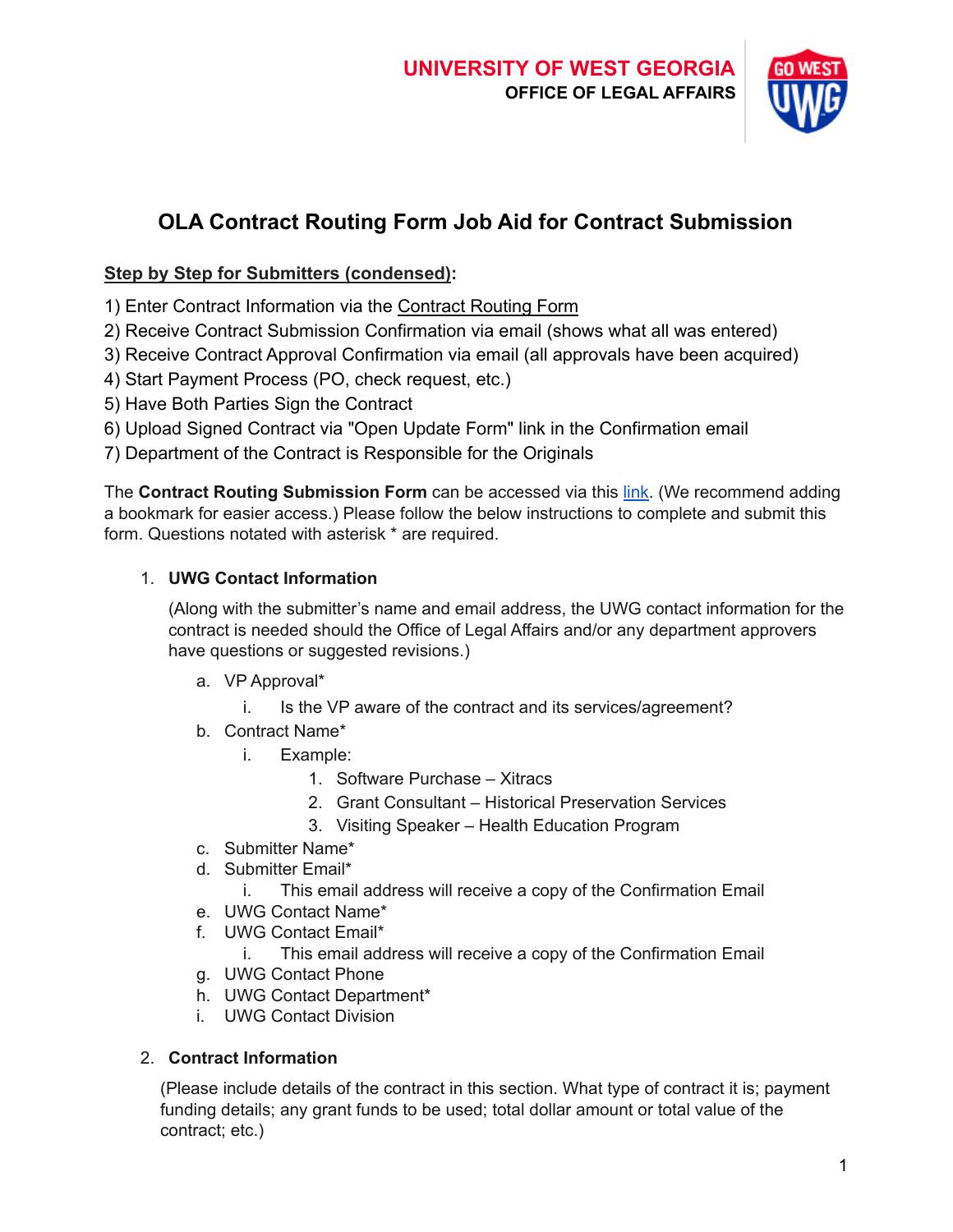

# **OLA Contract Routing Form Job Aid for Contract Submission**

## **Step by Step for Submitters (condensed):**

- 1) Enter Contract Information via the [Contract Routing](https://app.smartsheet.com/b/form/2c292df201254b67bd0fd71c086d6efa) Form
- 2) Receive Contract Submission Confirmation via email (shows what all was entered)
- 3) Receive Contract Approval Confirmation via email (all approvals have been acquired)
- 4) Start Payment Process (PO, check request, etc.)
- 5) Have Both Parties Sign the Contract
- 6) Upload Signed Contract via "Open Update Form" link in the Confirmation email
- 7) Department of the Contract is Responsible for the Originals

The **Contract Routing Submission Form** can be accessed via this [link](https://app.smartsheet.com/b/form/2c292df201254b67bd0fd71c086d6efa). (We recommend adding a bookmark for easier access.) Please follow the below instructions to complete and submit this form. Questions notated with asterisk \* are required.

# 1. **UWG Contact Information**

(Along with the submitter's name and email address, the UWG contact information for the contract is needed should the Office of Legal Affairs and/or any department approvers have questions or suggested revisions.)

- a. VP Approval\*
	- i. Is the VP aware of the contract and its services/agreement?
- b. Contract Name\*
	- i. Example:
		- 1. Software Purchase Xitracs
		- 2. Grant Consultant Historical Preservation Services
		- 3. Visiting Speaker Health Education Program
- c. Submitter Name\*
- d. Submitter Email\*
	- i. This email address will receive a copy of the Confirmation Email
- e. UWG Contact Name\*
- f. UWG Contact Email\*
	- i. This email address will receive a copy of the Confirmation Email
- g. UWG Contact Phone
- h. UWG Contact Department\*
- i. UWG Contact Division

## 2. **Contract Information**

(Please include details of the contract in this section. What type of contract it is; payment funding details; any grant funds to be used; total dollar amount or total value of the contract; etc.)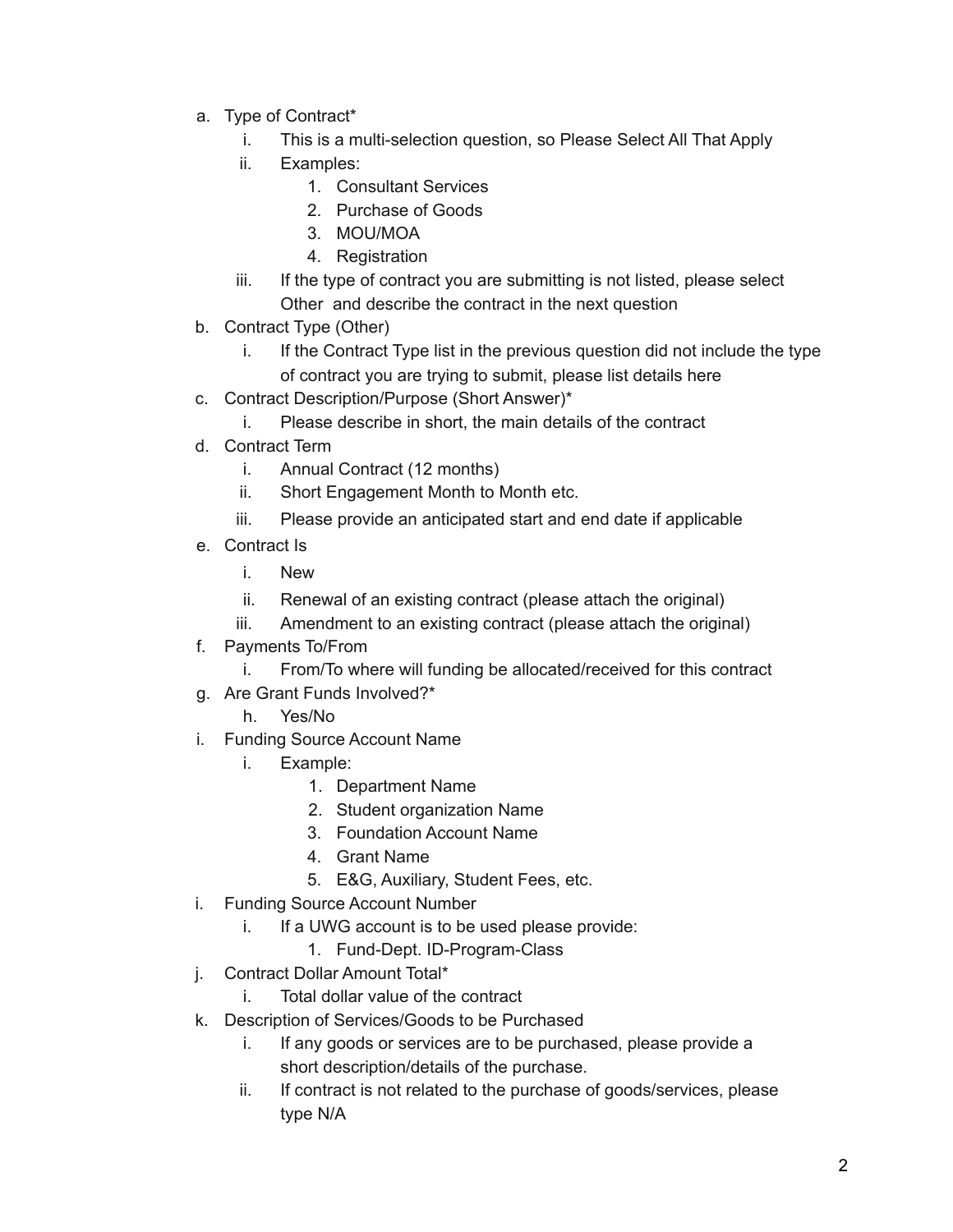- a. Type of Contract\*
	- i. This is a multi-selection question, so Please Select All That Apply
	- ii. Examples:
		- 1. Consultant Services
		- 2. Purchase of Goods
		- 3. MOU/MOA
		- 4. Registration
	- iii. If the type of contract you are submitting is not listed, please select Other and describe the contract in the next question
- b. Contract Type (Other)
	- i. If the Contract Type list in the previous question did not include the type of contract you are trying to submit, please list details here
- c. Contract Description/Purpose (Short Answer)\*
	- i. Please describe in short, the main details of the contract
- d. Contract Term
	- i. Annual Contract (12 months)
	- ii. Short Engagement Month to Month etc.
	- iii. Please provide an anticipated start and end date if applicable
- e. Contract Is
	- i. New
	- ii. Renewal of an existing contract (please attach the original)
	- iii. Amendment to an existing contract (please attach the original)
- f. Payments To/From
	- i. From/To where will funding be allocated/received for this contract
- g. Are Grant Funds Involved?\*
	- h. Yes/No
- i. Funding Source Account Name
	- i. Example:
		- 1. Department Name
		- 2. Student organization Name
		- 3. Foundation Account Name
		- 4. Grant Name
		- 5. E&G, Auxiliary, Student Fees, etc.
- i. Funding Source Account Number
	- i. If a UWG account is to be used please provide:
		- 1. Fund-Dept. ID-Program-Class
- j. Contract Dollar Amount Total\*
	- i. Total dollar value of the contract
- k. Description of Services/Goods to be Purchased
	- i. If any goods or services are to be purchased, please provide a short description/details of the purchase.
	- ii. If contract is not related to the purchase of goods/services, please type N/A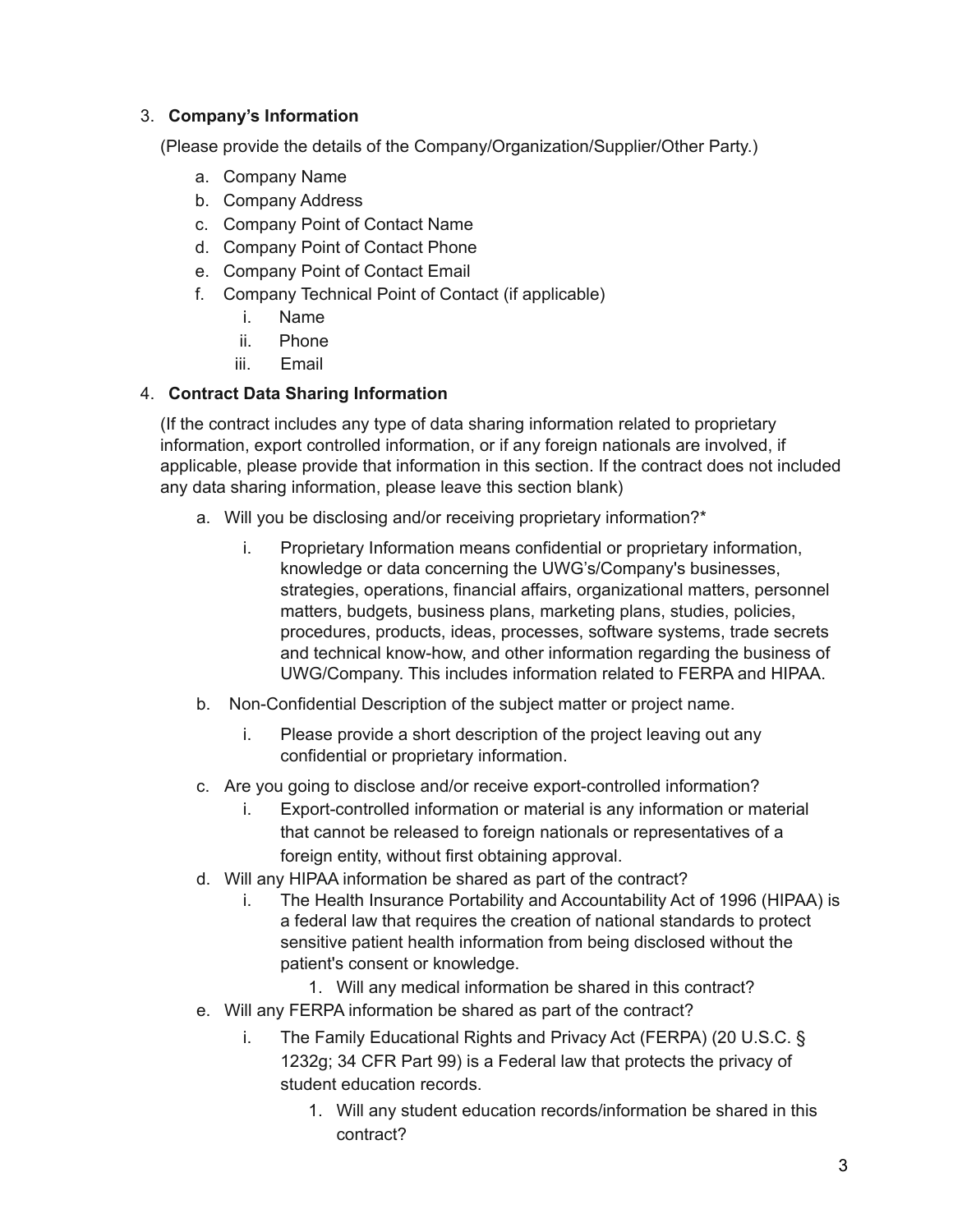#### 3. **Company's Information**

(Please provide the details of the Company/Organization/Supplier/Other Party.)

- a. Company Name
- b. Company Address
- c. Company Point of Contact Name
- d. Company Point of Contact Phone
- e. Company Point of Contact Email
- f. Company Technical Point of Contact (if applicable)
	- i. Name
	- ii. Phone
	- iii. Email

## 4. **Contract Data Sharing Information**

(If the contract includes any type of data sharing information related to proprietary information, export controlled information, or if any foreign nationals are involved, if applicable, please provide that information in this section. If the contract does not included any data sharing information, please leave this section blank)

- a. Will you be disclosing and/or receiving proprietary information?\*
	- i. Proprietary Information means confidential or proprietary information, knowledge or data concerning the UWG's/Company's businesses, strategies, operations, financial affairs, organizational matters, personnel matters, budgets, business plans, marketing plans, studies, policies, procedures, products, ideas, processes, software systems, trade secrets and technical know-how, and other information regarding the business of UWG/Company. This includes information related to FERPA and HIPAA.
- b. Non-Confidential Description of the subject matter or project name.
	- i. Please provide a short description of the project leaving out any confidential or proprietary information.
- c. Are you going to disclose and/or receive export-controlled information?
	- i. Export-controlled information or material is any information or material that cannot be released to foreign nationals or representatives of a foreign entity, without first obtaining approval.
- d. Will any HIPAA information be shared as part of the contract?
	- i. The Health Insurance Portability and Accountability Act of 1996 (HIPAA) is a federal law that requires the creation of national standards to protect sensitive patient health information from being disclosed without the patient's consent or knowledge.
		- 1. Will any medical information be shared in this contract?
- e. Will any FERPA information be shared as part of the contract?
	- i. The Family Educational Rights and Privacy Act (FERPA) (20 U.S.C. § 1232g; 34 CFR Part 99) is a Federal law that protects the privacy of student education records.
		- 1. Will any student education records/information be shared in this contract?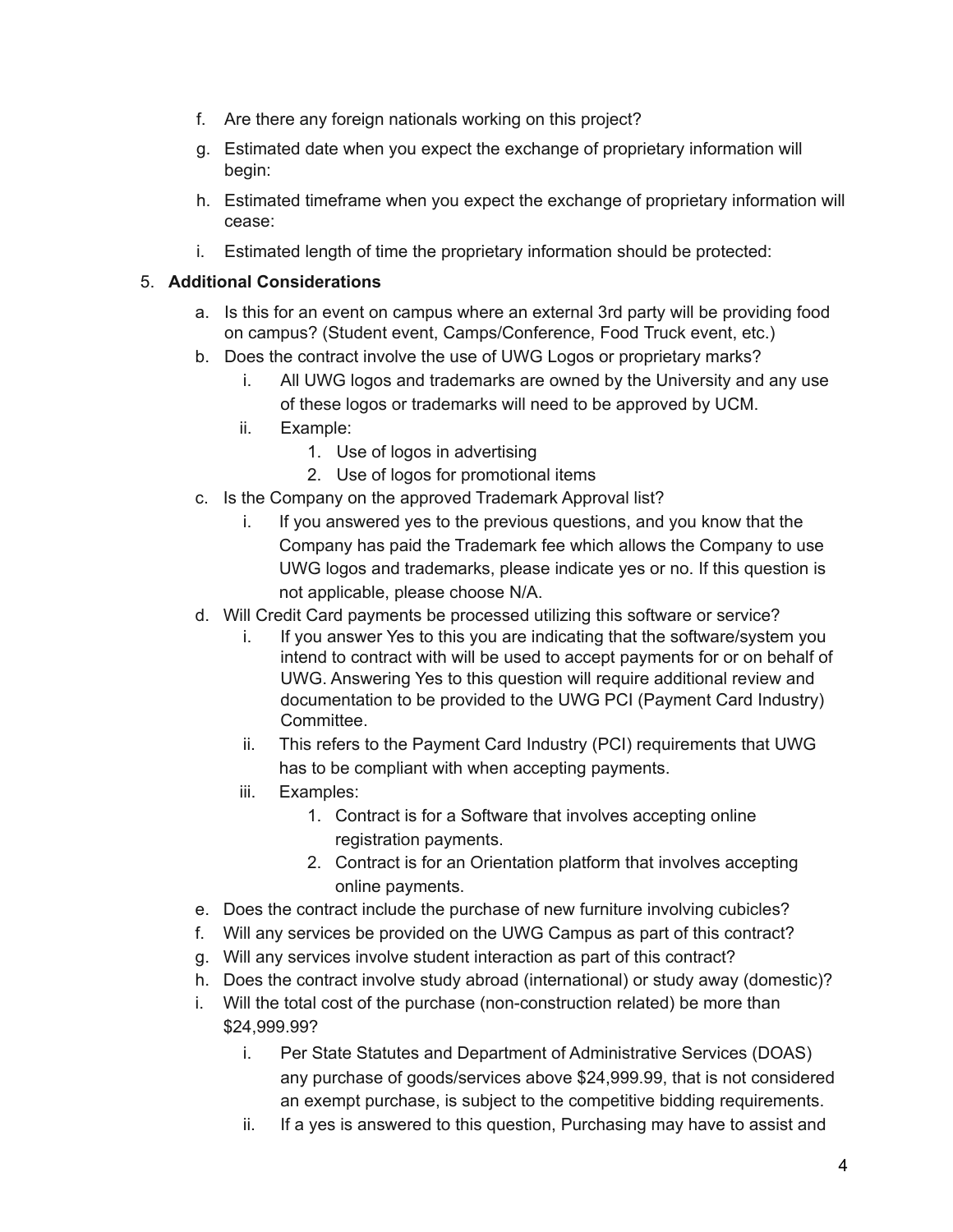- f. Are there any foreign nationals working on this project?
- g. Estimated date when you expect the exchange of proprietary information will begin:
- h. Estimated timeframe when you expect the exchange of proprietary information will cease:
- i. Estimated length of time the proprietary information should be protected:

## 5. **Additional Considerations**

- a. Is this for an event on campus where an external 3rd party will be providing food on campus? (Student event, Camps/Conference, Food Truck event, etc.)
- b. Does the contract involve the use of UWG Logos or proprietary marks?
	- i. All UWG logos and trademarks are owned by the University and any use of these logos or trademarks will need to be approved by UCM.
	- ii. Example:
		- 1. Use of logos in advertising
		- 2. Use of logos for promotional items
- c. Is the Company on the approved Trademark Approval list?
	- i. If you answered yes to the previous questions, and you know that the Company has paid the Trademark fee which allows the Company to use UWG logos and trademarks, please indicate yes or no. If this question is not applicable, please choose N/A.
- d. Will Credit Card payments be processed utilizing this software or service?
	- i. If you answer Yes to this you are indicating that the software/system you intend to contract with will be used to accept payments for or on behalf of UWG. Answering Yes to this question will require additional review and documentation to be provided to the UWG PCI (Payment Card Industry) Committee.
	- ii. This refers to the Payment Card Industry (PCI) requirements that UWG has to be compliant with when accepting payments.
	- iii. Examples:
		- 1. Contract is for a Software that involves accepting online registration payments.
		- 2. Contract is for an Orientation platform that involves accepting online payments.
- e. Does the contract include the purchase of new furniture involving cubicles?
- f. Will any services be provided on the UWG Campus as part of this contract?
- g. Will any services involve student interaction as part of this contract?
- h. Does the contract involve study abroad (international) or study away (domestic)?
- i. Will the total cost of the purchase (non-construction related) be more than \$24,999.99?
	- i. Per State Statutes and Department of Administrative Services (DOAS) any purchase of goods/services above \$24,999.99, that is not considered an exempt purchase, is subject to the competitive bidding requirements.
	- ii. If a yes is answered to this question, Purchasing may have to assist and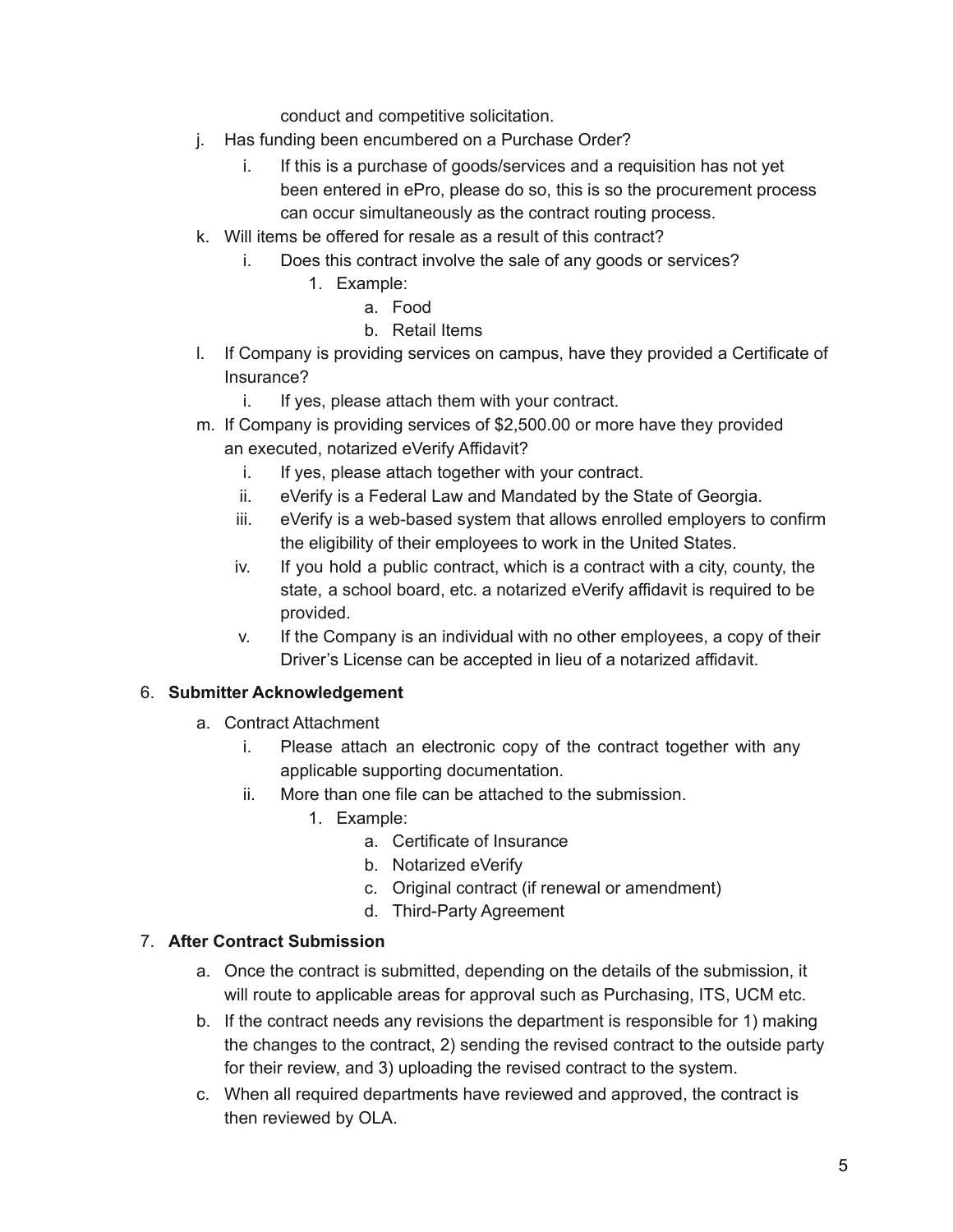conduct and competitive solicitation.

- j. Has funding been encumbered on a Purchase Order?
	- i. If this is a purchase of goods/services and a requisition has not yet been entered in ePro, please do so, this is so the procurement process can occur simultaneously as the contract routing process.
- k. Will items be offered for resale as a result of this contract?
	- i. Does this contract involve the sale of any goods or services?
		- 1. Example:
			- a. Food
			- b. Retail Items
- l. If Company is providing services on campus, have they provided a Certificate of Insurance?
	- i. If yes, please attach them with your contract.
- m. If Company is providing services of \$2,500.00 or more have they provided an executed, notarized eVerify Affidavit?
	- i. If yes, please attach together with your contract.
	- ii. eVerify is a Federal Law and Mandated by the State of Georgia.
	- iii. eVerify is a web-based system that allows enrolled employers to confirm the eligibility of their employees to work in the United States.
	- iv. If you hold a public contract, which is a contract with a city, county, the state, a school board, etc. a notarized eVerify affidavit is required to be provided.
	- v. If the Company is an individual with no other employees, a copy of their Driver's License can be accepted in lieu of a notarized affidavit.

#### 6. **Submitter Acknowledgement**

- a. Contract Attachment
	- i. Please attach an electronic copy of the contract together with any applicable supporting documentation.
	- ii. More than one file can be attached to the submission.
		- 1. Example:
			- a. Certificate of Insurance
			- b. Notarized eVerify
			- c. Original contract (if renewal or amendment)
			- d. Third-Party Agreement

## 7. **After Contract Submission**

- a. Once the contract is submitted, depending on the details of the submission, it will route to applicable areas for approval such as Purchasing, ITS, UCM etc.
- b. If the contract needs any revisions the department is responsible for 1) making the changes to the contract, 2) sending the revised contract to the outside party for their review, and 3) uploading the revised contract to the system.
- c. When all required departments have reviewed and approved, the contract is then reviewed by OLA.